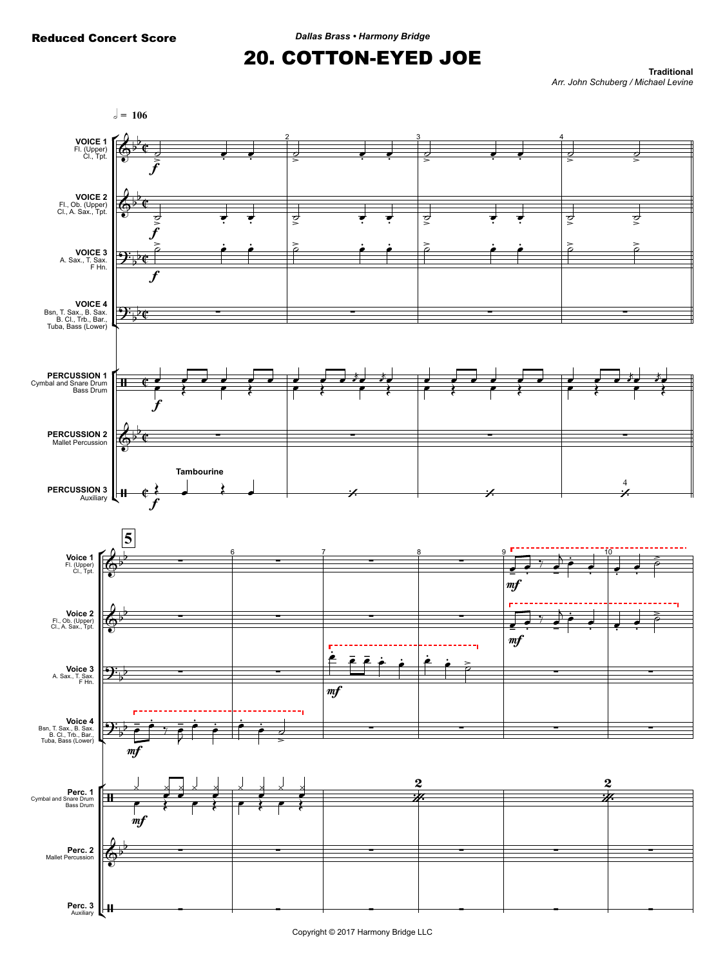## 20. COTTON-EYED JOE

**Traditional***Arr. John Schuberg / Michael Levine*

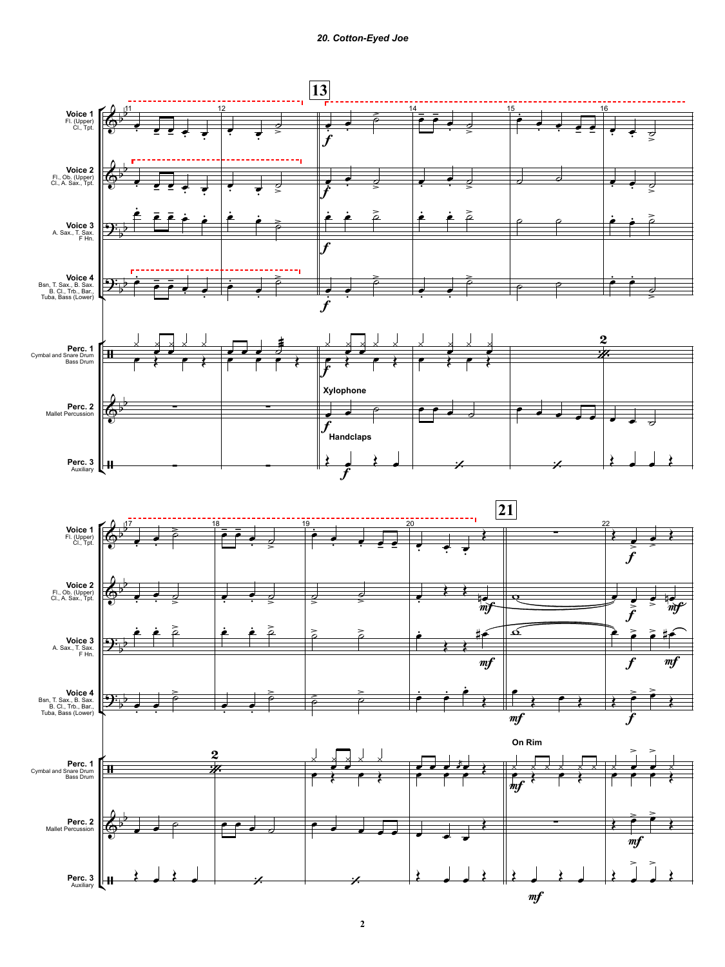## *20. Cotton-Eyed Joe*